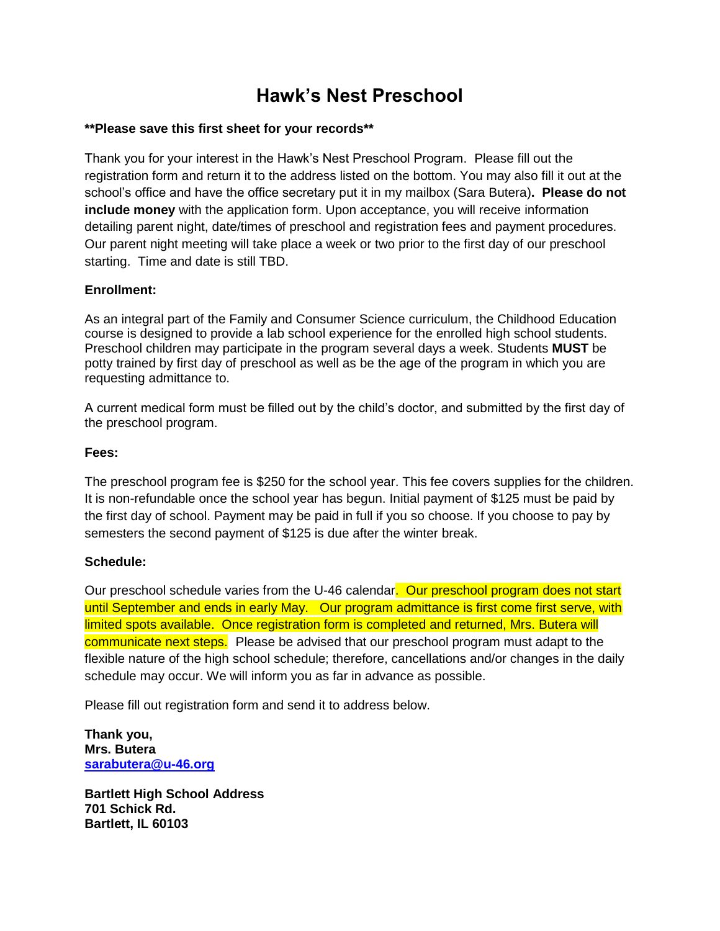# **Hawk's Nest Preschool**

#### **\*\*Please save this first sheet for your records\*\***

Thank you for your interest in the Hawk's Nest Preschool Program. Please fill out the registration form and return it to the address listed on the bottom. You may also fill it out at the school's office and have the office secretary put it in my mailbox (Sara Butera)**. Please do not include money** with the application form. Upon acceptance, you will receive information detailing parent night, date/times of preschool and registration fees and payment procedures. Our parent night meeting will take place a week or two prior to the first day of our preschool starting. Time and date is still TBD.

### **Enrollment:**

As an integral part of the Family and Consumer Science curriculum, the Childhood Education course is designed to provide a lab school experience for the enrolled high school students. Preschool children may participate in the program several days a week. Students **MUST** be potty trained by first day of preschool as well as be the age of the program in which you are requesting admittance to.

A current medical form must be filled out by the child's doctor, and submitted by the first day of the preschool program.

#### **Fees:**

The preschool program fee is \$250 for the school year. This fee covers supplies for the children. It is non-refundable once the school year has begun. Initial payment of \$125 must be paid by the first day of school. Payment may be paid in full if you so choose. If you choose to pay by semesters the second payment of \$125 is due after the winter break.

#### **Schedule:**

Our preschool schedule varies from the U-46 calendar. Our preschool program does not start until September and ends in early May. Our program admittance is first come first serve, with limited spots available. Once registration form is completed and returned, Mrs. Butera will communicate next steps. Please be advised that our preschool program must adapt to the flexible nature of the high school schedule; therefore, cancellations and/or changes in the daily schedule may occur. We will inform you as far in advance as possible.

Please fill out registration form and send it to address below.

**Thank you, Mrs. Butera [sarabutera@u-46.org](mailto:sarabutera@u-46.org)**

**Bartlett High School Address 701 Schick Rd. Bartlett, IL 60103**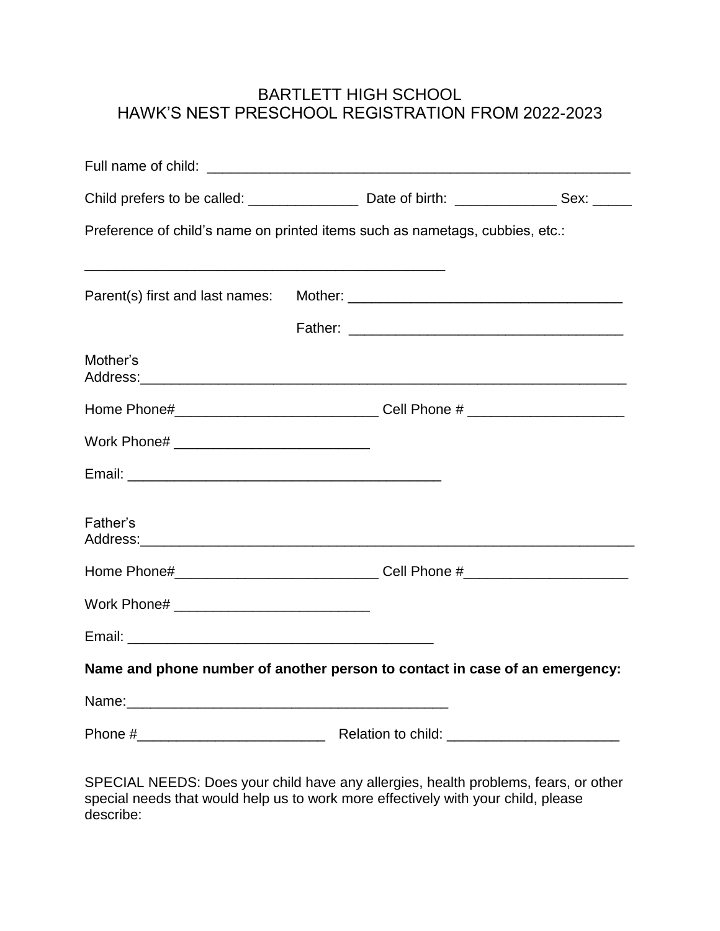## BARTLETT HIGH SCHOOL HAWK'S NEST PRESCHOOL REGISTRATION FROM 2022-2023

| Preference of child's name on printed items such as nametags, cubbies, etc.:                                     |  |  |  |  |
|------------------------------------------------------------------------------------------------------------------|--|--|--|--|
|                                                                                                                  |  |  |  |  |
|                                                                                                                  |  |  |  |  |
| Mother's                                                                                                         |  |  |  |  |
| Home Phone#__________________________________Cell Phone # ______________________                                 |  |  |  |  |
|                                                                                                                  |  |  |  |  |
|                                                                                                                  |  |  |  |  |
| Father's<br>Address: Address: Address: Address: Address: Address: Address: Address: Address: Address: Address: A |  |  |  |  |
| Home Phone#___________________________________Cell Phone #______________________                                 |  |  |  |  |
|                                                                                                                  |  |  |  |  |
|                                                                                                                  |  |  |  |  |
| Name and phone number of another person to contact in case of an emergency:                                      |  |  |  |  |
|                                                                                                                  |  |  |  |  |
|                                                                                                                  |  |  |  |  |

SPECIAL NEEDS: Does your child have any allergies, health problems, fears, or other special needs that would help us to work more effectively with your child, please describe: